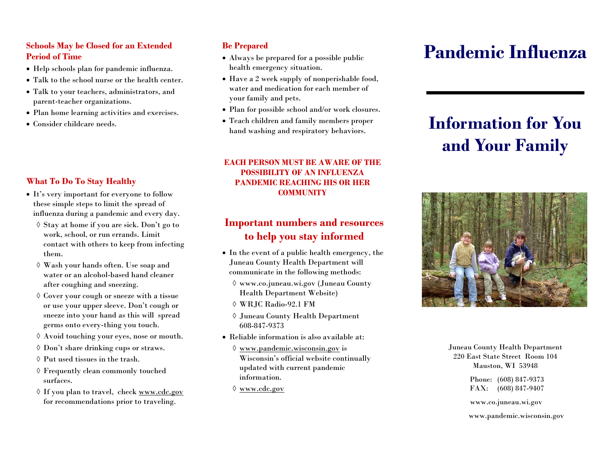### **Schools May be Closed for an Extended Period of Time**

- Help schools plan for pandemic influenza.
- Talk to the school nurse or the health center.
- Talk to your teachers, administrators, and parent-teacher organizations.
- Plan home learning activities and exercises.
- Consider childcare needs.

# **What To Do To Stay Healthy**

- It's very important for everyone to follow these simple steps to limit the spread of influenza during a pandemic and every day.
	- Stay at home if you are sick. Don't go to work, school, or run errands. Limit contact with others to keep from infecting them.
	- Wash your hands often. Use soap and water or an alcohol-based hand cleaner after coughing and sneezing.
	- $\Diamond$  Cover your cough or sneeze with a tissue or use your upper sleeve. Don't cough or sneeze into your hand as this will spread germs onto every-thing you touch.
	- Avoid touching your eyes, nose or mouth.
	- Don't share drinking cups or straws.
	- $\Diamond$  Put used tissues in the trash.
	- Frequently clean commonly touched surfaces.
	- $\Diamond$  If you plan to travel, check www.cdc.gov for recommendations prior to traveling.

### **Be Prepared**

- Always be prepared for a possible public health emergency situation.
- Have a 2 week supply of nonperishable food, water and medication for each member of your family and pets.
- Plan for possible school and/or work closures.
- Teach children and family members proper hand washing and respiratory behaviors.

#### **EACH PERSON MUST BE AWARE OF THE POSSIBILITY OF AN INFLUENZA PANDEMIC REACHING HIS OR HER COMMUNITY**

# **Important numbers and resources to help you stay informed**

- In the event of a public health emergency, the Juneau County Health Department will communicate in the following methods:
	- www.co.juneau.wi.gov (Juneau County Health Department Website)
	- WRJC Radio-92.1 FM
	- Juneau County Health Department 608-847-9373
- Reliable information is also available at:
	- $\Diamond$  www.pandemic.wisconsin.gov is Wisconsin's official website continually updated with current pandemic information.
	- www.cdc.gov

# **Pandemic Influenza**

# **Information for You and Your Family**



Juneau County Health Department 220 East State Street Room 104 Mauston, WI 53948

> Phone: (608) 847-9373 FAX: (608) 847-9407

www.co.juneau.wi.gov

www.pandemic.wisconsin.gov